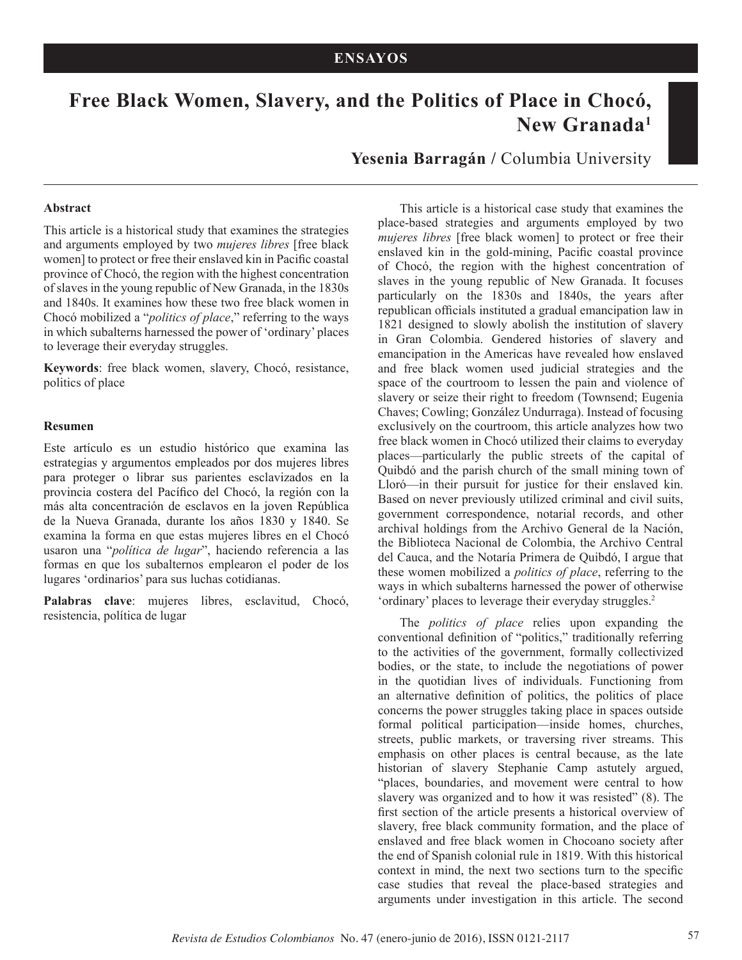# **Free Black Women, Slavery, and the Politics of Place in Chocó, New Granada1**

**Yesenia Barragán /** Columbia University

#### **Abstract**

This article is a historical study that examines the strategies and arguments employed by two *mujeres libres* [free black women] to protect or free their enslaved kin in Pacific coastal province of Chocó, the region with the highest concentration of slaves in the young republic of New Granada, in the 1830s and 1840s. It examines how these two free black women in Chocó mobilized a "*politics of place*," referring to the ways in which subalterns harnessed the power of 'ordinary' places to leverage their everyday struggles.

**Keywords**: free black women, slavery, Chocó, resistance, politics of place

#### **Resumen**

Este artículo es un estudio histórico que examina las estrategias y argumentos empleados por dos mujeres libres para proteger o librar sus parientes esclavizados en la provincia costera del Pacífico del Chocó, la región con la más alta concentración de esclavos en la joven República de la Nueva Granada, durante los años 1830 y 1840. Se examina la forma en que estas mujeres libres en el Chocó usaron una "*política de lugar*", haciendo referencia a las formas en que los subalternos emplearon el poder de los lugares 'ordinarios' para sus luchas cotidianas.

Palabras clave: mujeres libres, esclavitud, Chocó, resistencia, política de lugar

This article is a historical case study that examines the place-based strategies and arguments employed by two *mujeres libres* [free black women] to protect or free their enslaved kin in the gold-mining, Pacific coastal province of Chocó, the region with the highest concentration of slaves in the young republic of New Granada. It focuses particularly on the 1830s and 1840s, the years after republican officials instituted a gradual emancipation law in 1821 designed to slowly abolish the institution of slavery in Gran Colombia. Gendered histories of slavery and emancipation in the Americas have revealed how enslaved and free black women used judicial strategies and the space of the courtroom to lessen the pain and violence of slavery or seize their right to freedom (Townsend; Eugenia Chaves; Cowling; González Undurraga). Instead of focusing exclusively on the courtroom, this article analyzes how two free black women in Chocó utilized their claims to everyday places—particularly the public streets of the capital of Quibdó and the parish church of the small mining town of Lloró—in their pursuit for justice for their enslaved kin. Based on never previously utilized criminal and civil suits, government correspondence, notarial records, and other archival holdings from the Archivo General de la Nación, the Biblioteca Nacional de Colombia, the Archivo Central del Cauca, and the Notaría Primera de Quibdó, I argue that these women mobilized a *politics of place*, referring to the ways in which subalterns harnessed the power of otherwise 'ordinary' places to leverage their everyday struggles.2

The *politics of place* relies upon expanding the conventional definition of "politics," traditionally referring to the activities of the government, formally collectivized bodies, or the state, to include the negotiations of power in the quotidian lives of individuals. Functioning from an alternative definition of politics, the politics of place concerns the power struggles taking place in spaces outside formal political participation—inside homes, churches, streets, public markets, or traversing river streams. This emphasis on other places is central because, as the late historian of slavery Stephanie Camp astutely argued, "places, boundaries, and movement were central to how slavery was organized and to how it was resisted" (8). The first section of the article presents a historical overview of slavery, free black community formation, and the place of enslaved and free black women in Chocoano society after the end of Spanish colonial rule in 1819. With this historical context in mind, the next two sections turn to the specific case studies that reveal the place-based strategies and arguments under investigation in this article. The second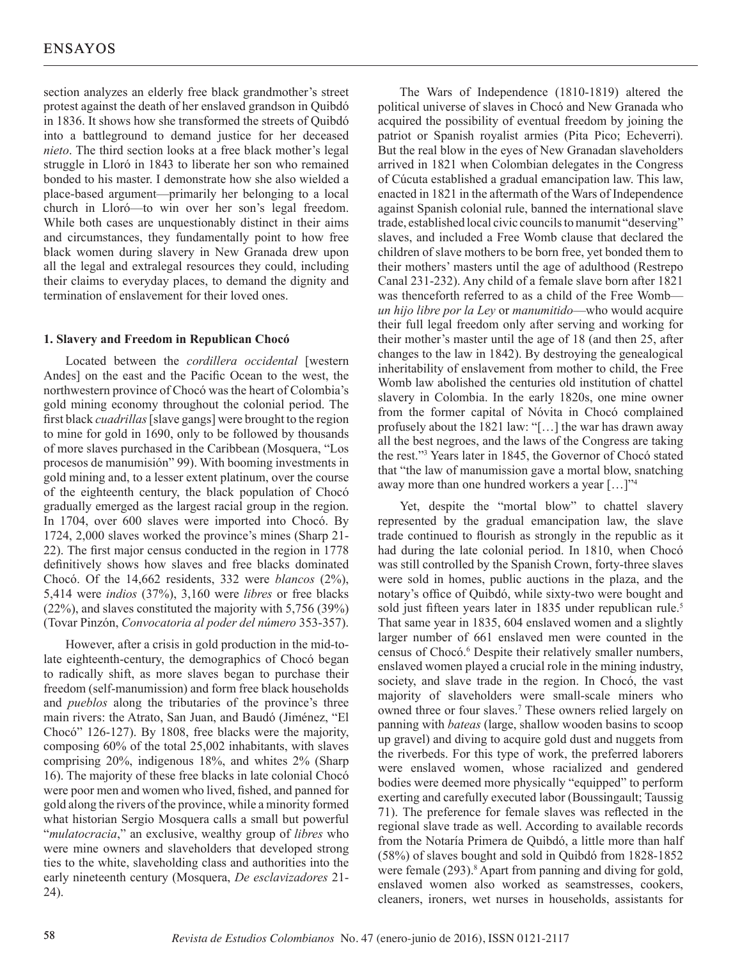section analyzes an elderly free black grandmother's street protest against the death of her enslaved grandson in Quibdó in 1836. It shows how she transformed the streets of Quibdó into a battleground to demand justice for her deceased *nieto*. The third section looks at a free black mother's legal struggle in Lloró in 1843 to liberate her son who remained bonded to his master. I demonstrate how she also wielded a place-based argument—primarily her belonging to a local church in Lloró—to win over her son's legal freedom. While both cases are unquestionably distinct in their aims and circumstances, they fundamentally point to how free black women during slavery in New Granada drew upon all the legal and extralegal resources they could, including their claims to everyday places, to demand the dignity and termination of enslavement for their loved ones.

#### **1. Slavery and Freedom in Republican Chocó**

Located between the *cordillera occidental* [western Andes] on the east and the Pacific Ocean to the west, the northwestern province of Chocó was the heart of Colombia's gold mining economy throughout the colonial period. The first black *cuadrillas* [slave gangs] were brought to the region to mine for gold in 1690, only to be followed by thousands of more slaves purchased in the Caribbean (Mosquera, "Los procesos de manumisión" 99). With booming investments in gold mining and, to a lesser extent platinum, over the course of the eighteenth century, the black population of Chocó gradually emerged as the largest racial group in the region. In 1704, over 600 slaves were imported into Chocó. By 1724, 2,000 slaves worked the province's mines (Sharp 21- 22). The first major census conducted in the region in 1778 definitively shows how slaves and free blacks dominated Chocó. Of the 14,662 residents, 332 were *blancos* (2%), 5,414 were *indios* (37%), 3,160 were *libres* or free blacks (22%), and slaves constituted the majority with 5,756 (39%) (Tovar Pinzón, *Convocatoria al poder del número* 353-357).

However, after a crisis in gold production in the mid-tolate eighteenth-century, the demographics of Chocó began to radically shift, as more slaves began to purchase their freedom (self-manumission) and form free black households and *pueblos* along the tributaries of the province's three main rivers: the Atrato, San Juan, and Baudó (Jiménez, "El Chocó" 126-127). By 1808, free blacks were the majority, composing 60% of the total 25,002 inhabitants, with slaves comprising 20%, indigenous 18%, and whites 2% (Sharp 16). The majority of these free blacks in late colonial Chocó were poor men and women who lived, fished, and panned for gold along the rivers of the province, while a minority formed what historian Sergio Mosquera calls a small but powerful "*mulatocracia*," an exclusive, wealthy group of *libres* who were mine owners and slaveholders that developed strong ties to the white, slaveholding class and authorities into the early nineteenth century (Mosquera, *De esclavizadores* 21- 24).

The Wars of Independence (1810-1819) altered the political universe of slaves in Chocó and New Granada who acquired the possibility of eventual freedom by joining the patriot or Spanish royalist armies (Pita Pico; Echeverri). But the real blow in the eyes of New Granadan slaveholders arrived in 1821 when Colombian delegates in the Congress of Cúcuta established a gradual emancipation law. This law, enacted in 1821 in the aftermath of the Wars of Independence against Spanish colonial rule, banned the international slave trade, established local civic councils to manumit "deserving" slaves, and included a Free Womb clause that declared the children of slave mothers to be born free, yet bonded them to their mothers' masters until the age of adulthood (Restrepo Canal 231-232). Any child of a female slave born after 1821 was thenceforth referred to as a child of the Free Womb *un hijo libre por la Ley* or *manumitido*—who would acquire their full legal freedom only after serving and working for their mother's master until the age of 18 (and then 25, after changes to the law in 1842). By destroying the genealogical inheritability of enslavement from mother to child, the Free Womb law abolished the centuries old institution of chattel slavery in Colombia. In the early 1820s, one mine owner from the former capital of Nóvita in Chocó complained profusely about the 1821 law: "[…] the war has drawn away all the best negroes, and the laws of the Congress are taking the rest."3 Years later in 1845, the Governor of Chocó stated that "the law of manumission gave a mortal blow, snatching away more than one hundred workers a year […]"4

Yet, despite the "mortal blow" to chattel slavery represented by the gradual emancipation law, the slave trade continued to flourish as strongly in the republic as it had during the late colonial period. In 1810, when Chocó was still controlled by the Spanish Crown, forty-three slaves were sold in homes, public auctions in the plaza, and the notary's office of Quibdó, while sixty-two were bought and sold just fifteen years later in 1835 under republican rule.<sup>5</sup> That same year in 1835, 604 enslaved women and a slightly larger number of 661 enslaved men were counted in the census of Chocó.<sup>6</sup> Despite their relatively smaller numbers, enslaved women played a crucial role in the mining industry, society, and slave trade in the region. In Chocó, the vast majority of slaveholders were small-scale miners who owned three or four slaves.7 These owners relied largely on panning with *bateas* (large, shallow wooden basins to scoop up gravel) and diving to acquire gold dust and nuggets from the riverbeds. For this type of work, the preferred laborers were enslaved women, whose racialized and gendered bodies were deemed more physically "equipped" to perform exerting and carefully executed labor (Boussingault; Taussig 71). The preference for female slaves was reflected in the regional slave trade as well. According to available records from the Notaría Primera de Quibdó, a little more than half (58%) of slaves bought and sold in Quibdó from 1828-1852 were female (293).<sup>8</sup> Apart from panning and diving for gold, enslaved women also worked as seamstresses, cookers, cleaners, ironers, wet nurses in households, assistants for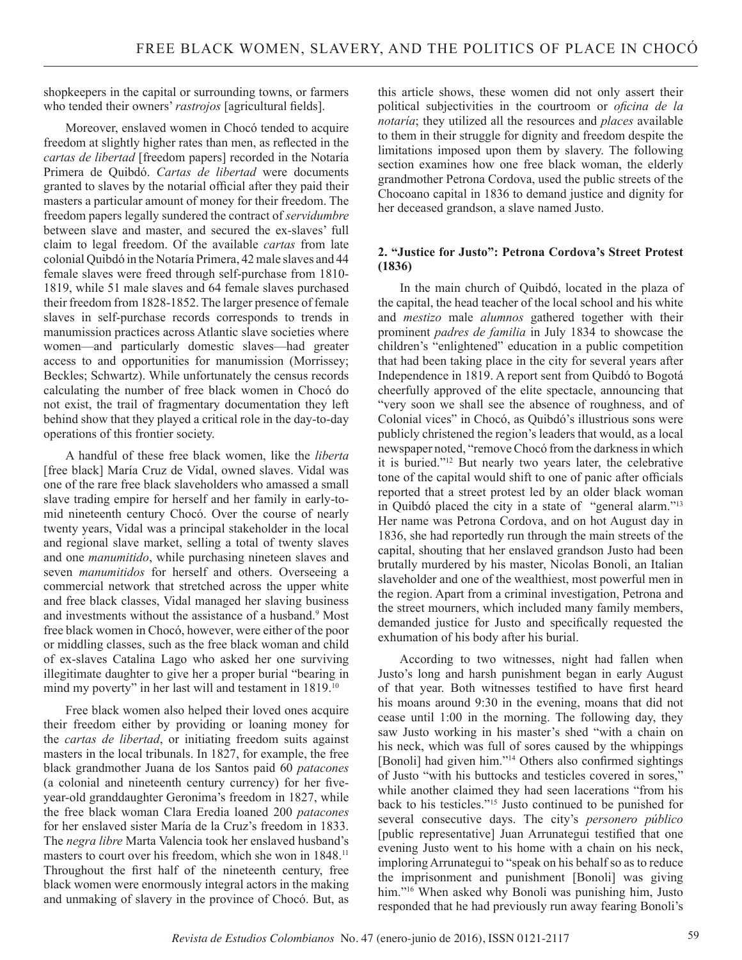shopkeepers in the capital or surrounding towns, or farmers who tended their owners' *rastrojos* [agricultural fields].

Moreover, enslaved women in Chocó tended to acquire freedom at slightly higher rates than men, as reflected in the *cartas de libertad* [freedom papers] recorded in the Notaría Primera de Quibdó. *Cartas de libertad* were documents granted to slaves by the notarial official after they paid their masters a particular amount of money for their freedom. The freedom papers legally sundered the contract of *servidumbre*  between slave and master, and secured the ex-slaves' full claim to legal freedom. Of the available *cartas* from late colonial Quibdó in the Notaría Primera, 42 male slaves and 44 female slaves were freed through self-purchase from 1810- 1819, while 51 male slaves and 64 female slaves purchased their freedom from 1828-1852. The larger presence of female slaves in self-purchase records corresponds to trends in manumission practices across Atlantic slave societies where women—and particularly domestic slaves—had greater access to and opportunities for manumission (Morrissey; Beckles; Schwartz). While unfortunately the census records calculating the number of free black women in Chocó do not exist, the trail of fragmentary documentation they left behind show that they played a critical role in the day-to-day operations of this frontier society.

A handful of these free black women, like the *liberta*  [free black] María Cruz de Vidal, owned slaves. Vidal was one of the rare free black slaveholders who amassed a small slave trading empire for herself and her family in early-tomid nineteenth century Chocó. Over the course of nearly twenty years, Vidal was a principal stakeholder in the local and regional slave market, selling a total of twenty slaves and one *manumitido*, while purchasing nineteen slaves and seven *manumitidos* for herself and others. Overseeing a commercial network that stretched across the upper white and free black classes, Vidal managed her slaving business and investments without the assistance of a husband.<sup>9</sup> Most free black women in Chocó, however, were either of the poor or middling classes, such as the free black woman and child of ex-slaves Catalina Lago who asked her one surviving illegitimate daughter to give her a proper burial "bearing in mind my poverty" in her last will and testament in 1819.10

Free black women also helped their loved ones acquire their freedom either by providing or loaning money for the *cartas de libertad*, or initiating freedom suits against masters in the local tribunals. In 1827, for example, the free black grandmother Juana de los Santos paid 60 *patacones* (a colonial and nineteenth century currency) for her fiveyear-old granddaughter Geronima's freedom in 1827, while the free black woman Clara Eredia loaned 200 *patacones*  for her enslaved sister María de la Cruz's freedom in 1833. The *negra libre* Marta Valencia took her enslaved husband's masters to court over his freedom, which she won in 1848.<sup>11</sup> Throughout the first half of the nineteenth century, free black women were enormously integral actors in the making and unmaking of slavery in the province of Chocó. But, as

this article shows, these women did not only assert their political subjectivities in the courtroom or *oficina de la notaría*; they utilized all the resources and *places* available to them in their struggle for dignity and freedom despite the limitations imposed upon them by slavery. The following section examines how one free black woman, the elderly grandmother Petrona Cordova, used the public streets of the Chocoano capital in 1836 to demand justice and dignity for her deceased grandson, a slave named Justo.

## **2. "Justice for Justo": Petrona Cordova's Street Protest (1836)**

In the main church of Quibdó, located in the plaza of the capital, the head teacher of the local school and his white and *mestizo* male *alumnos* gathered together with their prominent *padres de familia* in July 1834 to showcase the children's "enlightened" education in a public competition that had been taking place in the city for several years after Independence in 1819. A report sent from Quibdó to Bogotá cheerfully approved of the elite spectacle, announcing that "very soon we shall see the absence of roughness, and of Colonial vices" in Chocó, as Quibdó's illustrious sons were publicly christened the region's leaders that would, as a local newspaper noted, "remove Chocó from the darkness in which it is buried."12 But nearly two years later, the celebrative tone of the capital would shift to one of panic after officials reported that a street protest led by an older black woman in Quibdó placed the city in a state of "general alarm."13 Her name was Petrona Cordova, and on hot August day in 1836, she had reportedly run through the main streets of the capital, shouting that her enslaved grandson Justo had been brutally murdered by his master, Nicolas Bonoli, an Italian slaveholder and one of the wealthiest, most powerful men in the region. Apart from a criminal investigation, Petrona and the street mourners, which included many family members, demanded justice for Justo and specifically requested the exhumation of his body after his burial.

According to two witnesses, night had fallen when Justo's long and harsh punishment began in early August of that year. Both witnesses testified to have first heard his moans around 9:30 in the evening, moans that did not cease until 1:00 in the morning. The following day, they saw Justo working in his master's shed "with a chain on his neck, which was full of sores caused by the whippings [Bonoli] had given him."14 Others also confirmed sightings of Justo "with his buttocks and testicles covered in sores," while another claimed they had seen lacerations "from his back to his testicles."15 Justo continued to be punished for several consecutive days. The city's *personero público* [public representative] Juan Arrunategui testified that one evening Justo went to his home with a chain on his neck, imploring Arrunategui to "speak on his behalf so as to reduce the imprisonment and punishment [Bonoli] was giving him."<sup>16</sup> When asked why Bonoli was punishing him, Justo responded that he had previously run away fearing Bonoli's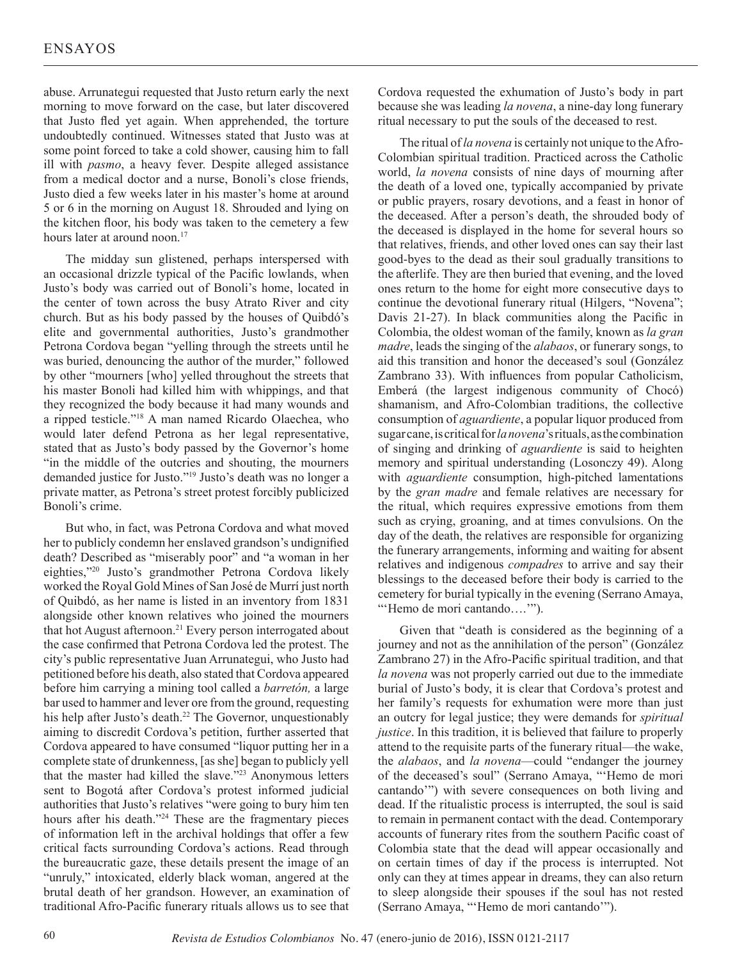abuse. Arrunategui requested that Justo return early the next morning to move forward on the case, but later discovered that Justo fled yet again. When apprehended, the torture undoubtedly continued. Witnesses stated that Justo was at some point forced to take a cold shower, causing him to fall ill with *pasmo*, a heavy fever. Despite alleged assistance from a medical doctor and a nurse, Bonoli's close friends, Justo died a few weeks later in his master's home at around 5 or 6 in the morning on August 18. Shrouded and lying on the kitchen floor, his body was taken to the cemetery a few hours later at around noon.<sup>17</sup>

The midday sun glistened, perhaps interspersed with an occasional drizzle typical of the Pacific lowlands, when Justo's body was carried out of Bonoli's home, located in the center of town across the busy Atrato River and city church. But as his body passed by the houses of Quibdó's elite and governmental authorities, Justo's grandmother Petrona Cordova began "yelling through the streets until he was buried, denouncing the author of the murder," followed by other "mourners [who] yelled throughout the streets that his master Bonoli had killed him with whippings, and that they recognized the body because it had many wounds and a ripped testicle."18 A man named Ricardo Olaechea, who would later defend Petrona as her legal representative, stated that as Justo's body passed by the Governor's home "in the middle of the outcries and shouting, the mourners demanded justice for Justo."19 Justo's death was no longer a private matter, as Petrona's street protest forcibly publicized Bonoli's crime.

But who, in fact, was Petrona Cordova and what moved her to publicly condemn her enslaved grandson's undignified death? Described as "miserably poor" and "a woman in her eighties,"20 Justo's grandmother Petrona Cordova likely worked the Royal Gold Mines of San José de Murrí just north of Quibdó, as her name is listed in an inventory from 1831 alongside other known relatives who joined the mourners that hot August afternoon.<sup>21</sup> Every person interrogated about the case confirmed that Petrona Cordova led the protest. The city's public representative Juan Arrunategui, who Justo had petitioned before his death, also stated that Cordova appeared before him carrying a mining tool called a *barretón,* a large bar used to hammer and lever ore from the ground, requesting his help after Justo's death.<sup>22</sup> The Governor, unquestionably aiming to discredit Cordova's petition, further asserted that Cordova appeared to have consumed "liquor putting her in a complete state of drunkenness, [as she] began to publicly yell that the master had killed the slave."23 Anonymous letters sent to Bogotá after Cordova's protest informed judicial authorities that Justo's relatives "were going to bury him ten hours after his death."24 These are the fragmentary pieces of information left in the archival holdings that offer a few critical facts surrounding Cordova's actions. Read through the bureaucratic gaze, these details present the image of an "unruly," intoxicated, elderly black woman, angered at the brutal death of her grandson. However, an examination of traditional Afro-Pacific funerary rituals allows us to see that

Cordova requested the exhumation of Justo's body in part because she was leading *la novena*, a nine-day long funerary ritual necessary to put the souls of the deceased to rest.

The ritual of *la novena* is certainly not unique to the Afro-Colombian spiritual tradition. Practiced across the Catholic world, *la novena* consists of nine days of mourning after the death of a loved one, typically accompanied by private or public prayers, rosary devotions, and a feast in honor of the deceased. After a person's death, the shrouded body of the deceased is displayed in the home for several hours so that relatives, friends, and other loved ones can say their last good-byes to the dead as their soul gradually transitions to the afterlife. They are then buried that evening, and the loved ones return to the home for eight more consecutive days to continue the devotional funerary ritual (Hilgers, "Novena"; Davis 21-27). In black communities along the Pacific in Colombia, the oldest woman of the family, known as *la gran madre*, leads the singing of the *alabaos*, or funerary songs, to aid this transition and honor the deceased's soul (González Zambrano 33). With influences from popular Catholicism, Emberá (the largest indigenous community of Chocó) shamanism, and Afro-Colombian traditions, the collective consumption of *aguardiente*, a popular liquor produced from sugar cane, is critical for *la novena*'s rituals, as the combination of singing and drinking of *aguardiente* is said to heighten memory and spiritual understanding (Losonczy 49). Along with *aguardiente* consumption, high-pitched lamentations by the *gran madre* and female relatives are necessary for the ritual, which requires expressive emotions from them such as crying, groaning, and at times convulsions. On the day of the death, the relatives are responsible for organizing the funerary arrangements, informing and waiting for absent relatives and indigenous *compadres* to arrive and say their blessings to the deceased before their body is carried to the cemetery for burial typically in the evening (Serrano Amaya, "'Hemo de mori cantando….'").

Given that "death is considered as the beginning of a journey and not as the annihilation of the person" (González Zambrano 27) in the Afro-Pacific spiritual tradition, and that *la novena* was not properly carried out due to the immediate burial of Justo's body, it is clear that Cordova's protest and her family's requests for exhumation were more than just an outcry for legal justice; they were demands for *spiritual justice*. In this tradition, it is believed that failure to properly attend to the requisite parts of the funerary ritual—the wake, the *alabaos*, and *la novena*—could "endanger the journey of the deceased's soul" (Serrano Amaya, "'Hemo de mori cantando'") with severe consequences on both living and dead. If the ritualistic process is interrupted, the soul is said to remain in permanent contact with the dead. Contemporary accounts of funerary rites from the southern Pacific coast of Colombia state that the dead will appear occasionally and on certain times of day if the process is interrupted. Not only can they at times appear in dreams, they can also return to sleep alongside their spouses if the soul has not rested (Serrano Amaya, "'Hemo de mori cantando'").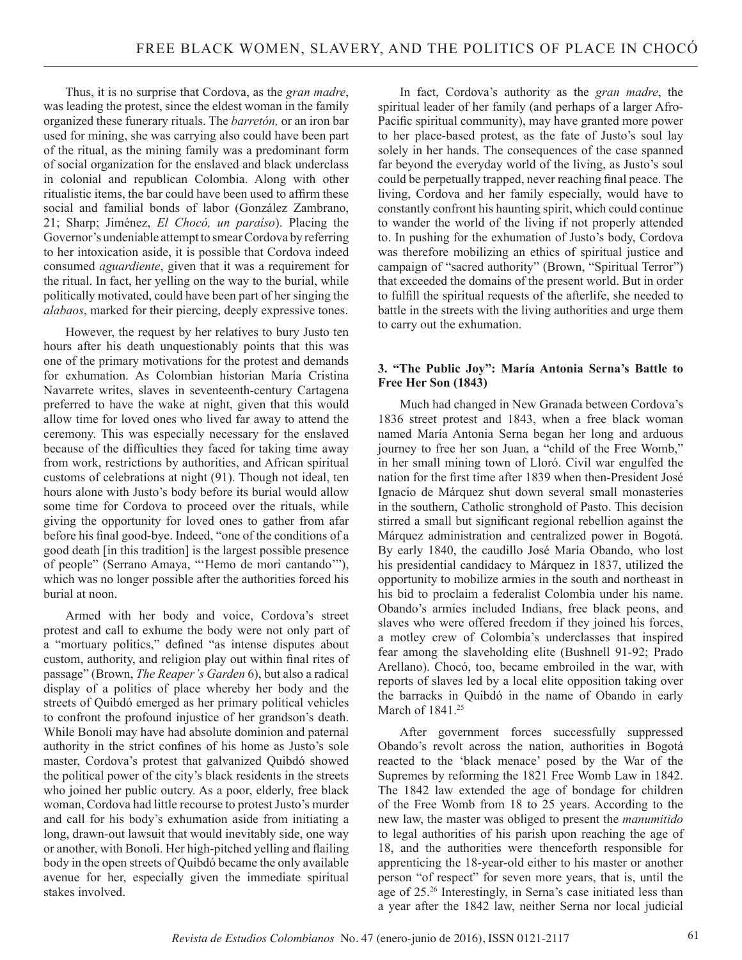Thus, it is no surprise that Cordova, as the *gran madre*, was leading the protest, since the eldest woman in the family organized these funerary rituals. The *barretón,* or an iron bar used for mining, she was carrying also could have been part of the ritual, as the mining family was a predominant form of social organization for the enslaved and black underclass in colonial and republican Colombia. Along with other ritualistic items, the bar could have been used to affirm these social and familial bonds of labor (González Zambrano, 21; Sharp; Jiménez, *El Chocó, un paraíso*). Placing the Governor's undeniable attempt to smear Cordova by referring to her intoxication aside, it is possible that Cordova indeed consumed *aguardiente*, given that it was a requirement for the ritual. In fact, her yelling on the way to the burial, while politically motivated, could have been part of her singing the *alabaos*, marked for their piercing, deeply expressive tones.

However, the request by her relatives to bury Justo ten hours after his death unquestionably points that this was one of the primary motivations for the protest and demands for exhumation. As Colombian historian María Cristina Navarrete writes, slaves in seventeenth-century Cartagena preferred to have the wake at night, given that this would allow time for loved ones who lived far away to attend the ceremony. This was especially necessary for the enslaved because of the difficulties they faced for taking time away from work, restrictions by authorities, and African spiritual customs of celebrations at night (91). Though not ideal, ten hours alone with Justo's body before its burial would allow some time for Cordova to proceed over the rituals, while giving the opportunity for loved ones to gather from afar before his final good-bye. Indeed, "one of the conditions of a good death [in this tradition] is the largest possible presence of people" (Serrano Amaya, "'Hemo de mori cantando'"), which was no longer possible after the authorities forced his burial at noon.

Armed with her body and voice, Cordova's street protest and call to exhume the body were not only part of a "mortuary politics," defined "as intense disputes about custom, authority, and religion play out within final rites of passage" (Brown, *The Reaper's Garden* 6), but also a radical display of a politics of place whereby her body and the streets of Quibdó emerged as her primary political vehicles to confront the profound injustice of her grandson's death. While Bonoli may have had absolute dominion and paternal authority in the strict confines of his home as Justo's sole master, Cordova's protest that galvanized Quibdó showed the political power of the city's black residents in the streets who joined her public outcry. As a poor, elderly, free black woman, Cordova had little recourse to protest Justo's murder and call for his body's exhumation aside from initiating a long, drawn-out lawsuit that would inevitably side, one way or another, with Bonoli. Her high-pitched yelling and flailing body in the open streets of Quibdó became the only available avenue for her, especially given the immediate spiritual stakes involved.

In fact, Cordova's authority as the *gran madre*, the spiritual leader of her family (and perhaps of a larger Afro-Pacific spiritual community), may have granted more power to her place-based protest, as the fate of Justo's soul lay solely in her hands. The consequences of the case spanned far beyond the everyday world of the living, as Justo's soul could be perpetually trapped, never reaching final peace. The living, Cordova and her family especially, would have to constantly confront his haunting spirit, which could continue to wander the world of the living if not properly attended to. In pushing for the exhumation of Justo's body, Cordova was therefore mobilizing an ethics of spiritual justice and campaign of "sacred authority" (Brown, "Spiritual Terror") that exceeded the domains of the present world. But in order to fulfill the spiritual requests of the afterlife, she needed to battle in the streets with the living authorities and urge them to carry out the exhumation.

## **3. "The Public Joy": María Antonia Serna's Battle to Free Her Son (1843)**

Much had changed in New Granada between Cordova's 1836 street protest and 1843, when a free black woman named María Antonia Serna began her long and arduous journey to free her son Juan, a "child of the Free Womb," in her small mining town of Lloró. Civil war engulfed the nation for the first time after 1839 when then-President José Ignacio de Márquez shut down several small monasteries in the southern, Catholic stronghold of Pasto. This decision stirred a small but significant regional rebellion against the Márquez administration and centralized power in Bogotá. By early 1840, the caudillo José María Obando, who lost his presidential candidacy to Márquez in 1837, utilized the opportunity to mobilize armies in the south and northeast in his bid to proclaim a federalist Colombia under his name. Obando's armies included Indians, free black peons, and slaves who were offered freedom if they joined his forces, a motley crew of Colombia's underclasses that inspired fear among the slaveholding elite (Bushnell 91-92; Prado Arellano). Chocó, too, became embroiled in the war, with reports of slaves led by a local elite opposition taking over the barracks in Quibdó in the name of Obando in early March of 1841.<sup>25</sup>

After government forces successfully suppressed Obando's revolt across the nation, authorities in Bogotá reacted to the 'black menace' posed by the War of the Supremes by reforming the 1821 Free Womb Law in 1842. The 1842 law extended the age of bondage for children of the Free Womb from 18 to 25 years. According to the new law, the master was obliged to present the *manumitido* to legal authorities of his parish upon reaching the age of 18, and the authorities were thenceforth responsible for apprenticing the 18-year-old either to his master or another person "of respect" for seven more years, that is, until the age of 25.26 Interestingly, in Serna's case initiated less than a year after the 1842 law, neither Serna nor local judicial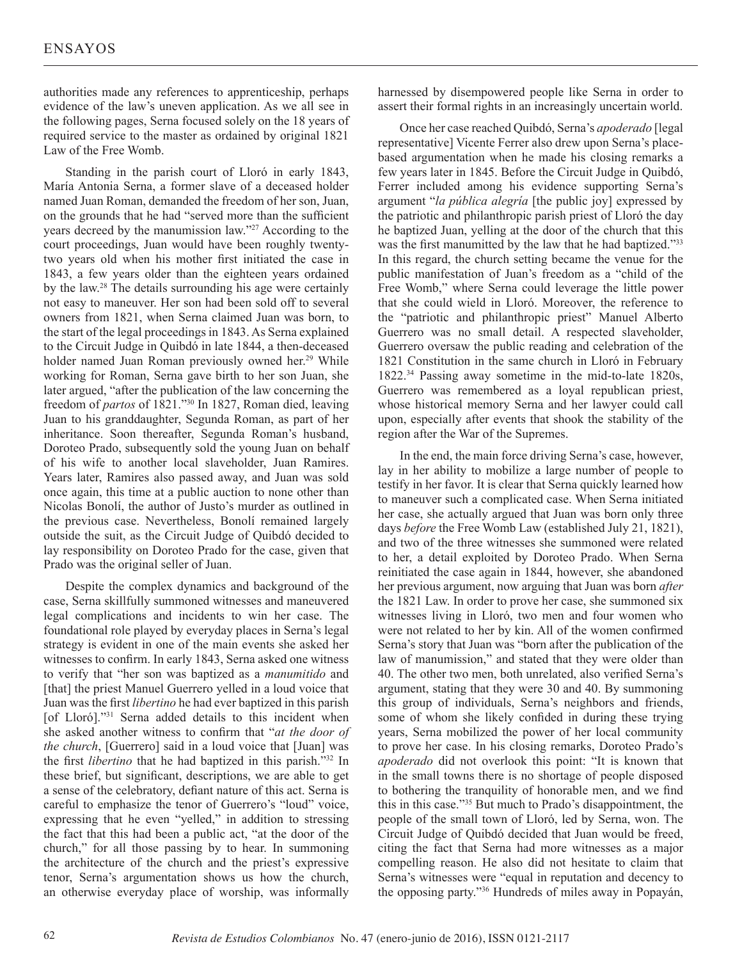authorities made any references to apprenticeship, perhaps evidence of the law's uneven application. As we all see in the following pages, Serna focused solely on the 18 years of required service to the master as ordained by original 1821 Law of the Free Womb.

Standing in the parish court of Lloró in early 1843, María Antonia Serna, a former slave of a deceased holder named Juan Roman, demanded the freedom of her son, Juan, on the grounds that he had "served more than the sufficient years decreed by the manumission law."<sup>27</sup> According to the court proceedings, Juan would have been roughly twentytwo years old when his mother first initiated the case in 1843, a few years older than the eighteen years ordained by the law.28 The details surrounding his age were certainly not easy to maneuver. Her son had been sold off to several owners from 1821, when Serna claimed Juan was born, to the start of the legal proceedings in 1843. As Serna explained to the Circuit Judge in Quibdó in late 1844, a then-deceased holder named Juan Roman previously owned her.<sup>29</sup> While working for Roman, Serna gave birth to her son Juan, she later argued, "after the publication of the law concerning the freedom of *partos* of 1821."30 In 1827, Roman died, leaving Juan to his granddaughter, Segunda Roman, as part of her inheritance. Soon thereafter, Segunda Roman's husband, Doroteo Prado, subsequently sold the young Juan on behalf of his wife to another local slaveholder, Juan Ramires. Years later, Ramires also passed away, and Juan was sold once again, this time at a public auction to none other than Nicolas Bonolí, the author of Justo's murder as outlined in the previous case. Nevertheless, Bonolí remained largely outside the suit, as the Circuit Judge of Quibdó decided to lay responsibility on Doroteo Prado for the case, given that Prado was the original seller of Juan.

Despite the complex dynamics and background of the case, Serna skillfully summoned witnesses and maneuvered legal complications and incidents to win her case. The foundational role played by everyday places in Serna's legal strategy is evident in one of the main events she asked her witnesses to confirm. In early 1843, Serna asked one witness to verify that "her son was baptized as a *manumitido* and [that] the priest Manuel Guerrero yelled in a loud voice that Juan was the first *libertino* he had ever baptized in this parish [of Lloró]."31 Serna added details to this incident when she asked another witness to confirm that "*at the door of the church*, [Guerrero] said in a loud voice that [Juan] was the first *libertino* that he had baptized in this parish."32 In these brief, but significant, descriptions, we are able to get a sense of the celebratory, defiant nature of this act. Serna is careful to emphasize the tenor of Guerrero's "loud" voice, expressing that he even "yelled," in addition to stressing the fact that this had been a public act, "at the door of the church," for all those passing by to hear. In summoning the architecture of the church and the priest's expressive tenor, Serna's argumentation shows us how the church, an otherwise everyday place of worship, was informally

harnessed by disempowered people like Serna in order to assert their formal rights in an increasingly uncertain world.

Once her case reached Quibdó, Serna's *apoderado* [legal representative] Vicente Ferrer also drew upon Serna's placebased argumentation when he made his closing remarks a few years later in 1845. Before the Circuit Judge in Quibdó, Ferrer included among his evidence supporting Serna's argument "*la pública alegría* [the public joy] expressed by the patriotic and philanthropic parish priest of Lloró the day he baptized Juan, yelling at the door of the church that this was the first manumitted by the law that he had baptized."<sup>33</sup> In this regard, the church setting became the venue for the public manifestation of Juan's freedom as a "child of the Free Womb," where Serna could leverage the little power that she could wield in Lloró. Moreover, the reference to the "patriotic and philanthropic priest" Manuel Alberto Guerrero was no small detail. A respected slaveholder, Guerrero oversaw the public reading and celebration of the 1821 Constitution in the same church in Lloró in February 1822.34 Passing away sometime in the mid-to-late 1820s, Guerrero was remembered as a loyal republican priest, whose historical memory Serna and her lawyer could call upon, especially after events that shook the stability of the region after the War of the Supremes.

In the end, the main force driving Serna's case, however, lay in her ability to mobilize a large number of people to testify in her favor. It is clear that Serna quickly learned how to maneuver such a complicated case. When Serna initiated her case, she actually argued that Juan was born only three days *before* the Free Womb Law (established July 21, 1821), and two of the three witnesses she summoned were related to her, a detail exploited by Doroteo Prado. When Serna reinitiated the case again in 1844, however, she abandoned her previous argument, now arguing that Juan was born *after*  the 1821 Law. In order to prove her case, she summoned six witnesses living in Lloró, two men and four women who were not related to her by kin. All of the women confirmed Serna's story that Juan was "born after the publication of the law of manumission," and stated that they were older than 40. The other two men, both unrelated, also verified Serna's argument, stating that they were 30 and 40. By summoning this group of individuals, Serna's neighbors and friends, some of whom she likely confided in during these trying years, Serna mobilized the power of her local community to prove her case. In his closing remarks, Doroteo Prado's *apoderado* did not overlook this point: "It is known that in the small towns there is no shortage of people disposed to bothering the tranquility of honorable men, and we find this in this case."35 But much to Prado's disappointment, the people of the small town of Lloró, led by Serna, won. The Circuit Judge of Quibdó decided that Juan would be freed, citing the fact that Serna had more witnesses as a major compelling reason. He also did not hesitate to claim that Serna's witnesses were "equal in reputation and decency to the opposing party."36 Hundreds of miles away in Popayán,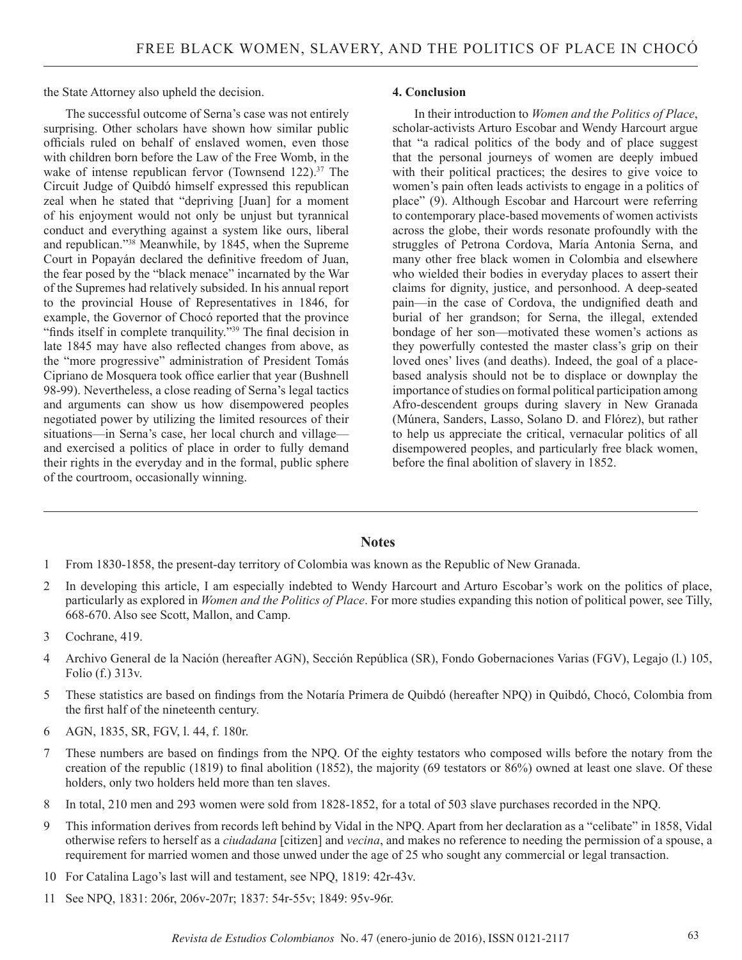the State Attorney also upheld the decision.

The successful outcome of Serna's case was not entirely surprising. Other scholars have shown how similar public officials ruled on behalf of enslaved women, even those with children born before the Law of the Free Womb, in the wake of intense republican fervor (Townsend  $122$ ).<sup>37</sup> The Circuit Judge of Quibdó himself expressed this republican zeal when he stated that "depriving [Juan] for a moment of his enjoyment would not only be unjust but tyrannical conduct and everything against a system like ours, liberal and republican."38 Meanwhile, by 1845, when the Supreme Court in Popayán declared the definitive freedom of Juan, the fear posed by the "black menace" incarnated by the War of the Supremes had relatively subsided. In his annual report to the provincial House of Representatives in 1846, for example, the Governor of Chocó reported that the province "finds itself in complete tranquility."<sup>39</sup> The final decision in late 1845 may have also reflected changes from above, as the "more progressive" administration of President Tomás Cipriano de Mosquera took office earlier that year (Bushnell 98-99). Nevertheless, a close reading of Serna's legal tactics and arguments can show us how disempowered peoples negotiated power by utilizing the limited resources of their situations—in Serna's case, her local church and village and exercised a politics of place in order to fully demand their rights in the everyday and in the formal, public sphere of the courtroom, occasionally winning.

#### **4. Conclusion**

In their introduction to *Women and the Politics of Place*, scholar-activists Arturo Escobar and Wendy Harcourt argue that "a radical politics of the body and of place suggest that the personal journeys of women are deeply imbued with their political practices; the desires to give voice to women's pain often leads activists to engage in a politics of place" (9). Although Escobar and Harcourt were referring to contemporary place-based movements of women activists across the globe, their words resonate profoundly with the struggles of Petrona Cordova, María Antonia Serna, and many other free black women in Colombia and elsewhere who wielded their bodies in everyday places to assert their claims for dignity, justice, and personhood. A deep-seated pain—in the case of Cordova, the undignified death and burial of her grandson; for Serna, the illegal, extended bondage of her son—motivated these women's actions as they powerfully contested the master class's grip on their loved ones' lives (and deaths). Indeed, the goal of a placebased analysis should not be to displace or downplay the importance of studies on formal political participation among Afro-descendent groups during slavery in New Granada (Múnera, Sanders, Lasso, Solano D. and Flórez), but rather to help us appreciate the critical, vernacular politics of all disempowered peoples, and particularly free black women, before the final abolition of slavery in 1852.

## **Notes**

- 1 From 1830-1858, the present-day territory of Colombia was known as the Republic of New Granada.
- 2 In developing this article, I am especially indebted to Wendy Harcourt and Arturo Escobar's work on the politics of place, particularly as explored in *Women and the Politics of Place*. For more studies expanding this notion of political power, see Tilly, 668-670. Also see Scott, Mallon, and Camp.
- 3 Cochrane, 419.
- 4 Archivo General de la Nación (hereafter AGN), Sección República (SR), Fondo Gobernaciones Varias (FGV), Legajo (l.) 105, Folio (f.) 313v.
- 5 These statistics are based on findings from the Notaría Primera de Quibdó (hereafter NPQ) in Quibdó, Chocó, Colombia from the first half of the nineteenth century.
- 6 AGN, 1835, SR, FGV, l. 44, f. 180r.
- 7 These numbers are based on findings from the NPQ. Of the eighty testators who composed wills before the notary from the creation of the republic (1819) to final abolition (1852), the majority (69 testators or 86%) owned at least one slave. Of these holders, only two holders held more than ten slaves.
- 8 In total, 210 men and 293 women were sold from 1828-1852, for a total of 503 slave purchases recorded in the NPQ.
- 9 This information derives from records left behind by Vidal in the NPQ. Apart from her declaration as a "celibate" in 1858, Vidal otherwise refers to herself as a *ciudadana* [citizen] and *vecina*, and makes no reference to needing the permission of a spouse, a requirement for married women and those unwed under the age of 25 who sought any commercial or legal transaction.
- 10 For Catalina Lago's last will and testament, see NPQ, 1819: 42r-43v.
- 11 See NPQ, 1831: 206r, 206v-207r; 1837: 54r-55v; 1849: 95v-96r.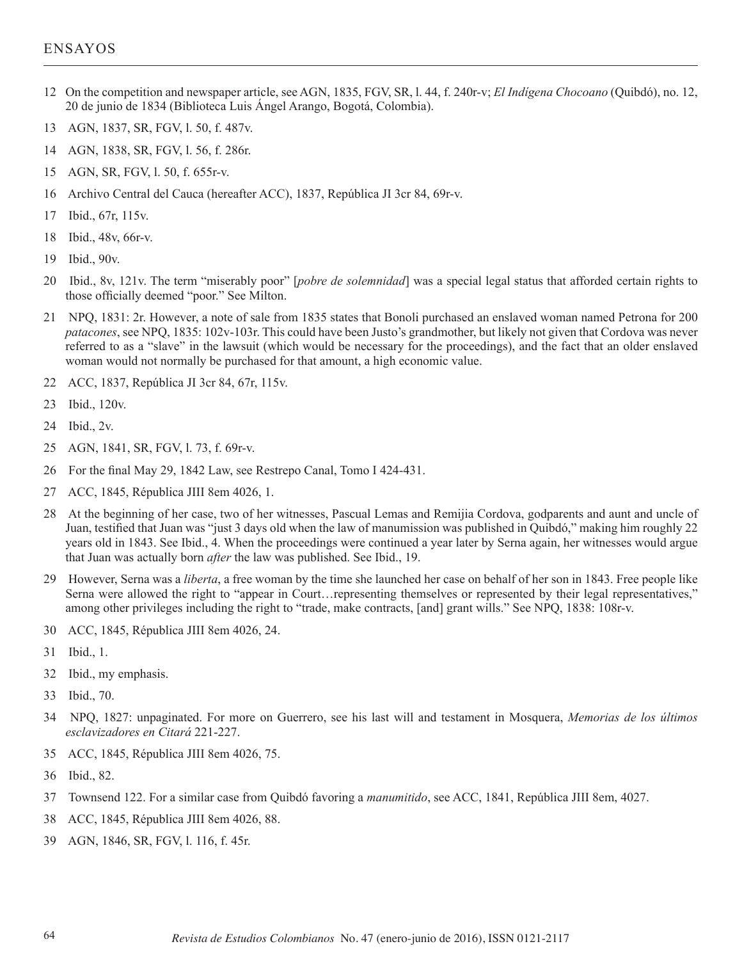- 12 On the competition and newspaper article, see AGN, 1835, FGV, SR, l. 44, f. 240r-v; *El Indígena Chocoano* (Quibdó), no. 12, 20 de junio de 1834 (Biblioteca Luis Ángel Arango, Bogotá, Colombia).
- 13 AGN, 1837, SR, FGV, l. 50, f. 487v.
- 14 AGN, 1838, SR, FGV, l. 56, f. 286r.
- 15 AGN, SR, FGV, l. 50, f. 655r-v.
- 16 Archivo Central del Cauca (hereafter ACC), 1837, República JI 3cr 84, 69r-v.
- 17 Ibid., 67r, 115v.
- 18 Ibid., 48v, 66r-v.
- 19 Ibid., 90v.
- 20 Ibid., 8v, 121v. The term "miserably poor" [*pobre de solemnidad*] was a special legal status that afforded certain rights to those officially deemed "poor." See Milton.
- 21 NPQ, 1831: 2r. However, a note of sale from 1835 states that Bonoli purchased an enslaved woman named Petrona for 200 *patacones*, see NPQ, 1835: 102v-103r. This could have been Justo's grandmother, but likely not given that Cordova was never referred to as a "slave" in the lawsuit (which would be necessary for the proceedings), and the fact that an older enslaved woman would not normally be purchased for that amount, a high economic value.
- 22 ACC, 1837, República JI 3cr 84, 67r, 115v.
- 23 Ibid., 120v.
- 24 Ibid., 2v.
- 25 AGN, 1841, SR, FGV, l. 73, f. 69r-v.
- 26 For the final May 29, 1842 Law, see Restrepo Canal, Tomo I 424-431.
- 27 ACC, 1845, Républica JIII 8em 4026, 1.
- 28 At the beginning of her case, two of her witnesses, Pascual Lemas and Remijia Cordova, godparents and aunt and uncle of Juan, testified that Juan was "just 3 days old when the law of manumission was published in Quibdó," making him roughly 22 years old in 1843. See Ibid., 4. When the proceedings were continued a year later by Serna again, her witnesses would argue that Juan was actually born *after* the law was published. See Ibid., 19.
- 29 However, Serna was a *liberta*, a free woman by the time she launched her case on behalf of her son in 1843. Free people like Serna were allowed the right to "appear in Court…representing themselves or represented by their legal representatives," among other privileges including the right to "trade, make contracts, [and] grant wills." See NPQ, 1838: 108r-v.
- 30 ACC, 1845, Républica JIII 8em 4026, 24.
- 31 Ibid., 1.
- 32 Ibid., my emphasis.
- 33 Ibid., 70.
- 34 NPQ, 1827: unpaginated. For more on Guerrero, see his last will and testament in Mosquera, *Memorias de los últimos esclavizadores en Citará* 221-227.
- 35 ACC, 1845, Républica JIII 8em 4026, 75.
- 36 Ibid., 82.
- 37 Townsend 122. For a similar case from Quibdó favoring a *manumitido*, see ACC, 1841, República JIII 8em, 4027.
- 38 ACC, 1845, Républica JIII 8em 4026, 88.
- 39 AGN, 1846, SR, FGV, l. 116, f. 45r.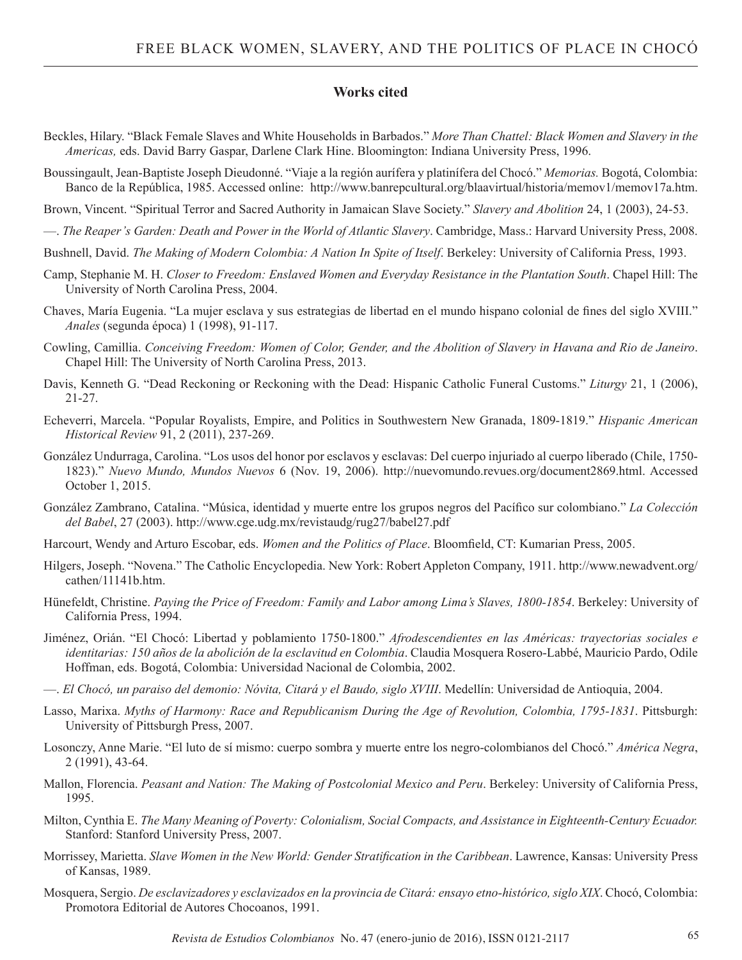### **Works cited**

- Beckles, Hilary. "Black Female Slaves and White Households in Barbados." *More Than Chattel: Black Women and Slavery in the Americas,* eds. David Barry Gaspar, Darlene Clark Hine. Bloomington: Indiana University Press, 1996.
- Boussingault, Jean-Baptiste Joseph Dieudonné. "Viaje a la región aurífera y platinífera del Chocó." *Memorias.* Bogotá, Colombia: Banco de la República, 1985. Accessed online: http://www.banrepcultural.org/blaavirtual/historia/memov1/memov17a.htm.
- Brown, Vincent. "Spiritual Terror and Sacred Authority in Jamaican Slave Society." *Slavery and Abolition* 24, 1 (2003), 24-53.
- —. *The Reaper's Garden: Death and Power in the World of Atlantic Slavery*. Cambridge, Mass.: Harvard University Press, 2008.
- Bushnell, David. *The Making of Modern Colombia: A Nation In Spite of Itself*. Berkeley: University of California Press, 1993.
- Camp, Stephanie M. H. *Closer to Freedom: Enslaved Women and Everyday Resistance in the Plantation South*. Chapel Hill: The University of North Carolina Press, 2004.
- Chaves, María Eugenia. "La mujer esclava y sus estrategias de libertad en el mundo hispano colonial de fines del siglo XVIII." *Anales* (segunda época) 1 (1998), 91-117.
- Cowling, Camillia. *Conceiving Freedom: Women of Color, Gender, and the Abolition of Slavery in Havana and Rio de Janeiro*. Chapel Hill: The University of North Carolina Press, 2013.
- Davis, Kenneth G. "Dead Reckoning or Reckoning with the Dead: Hispanic Catholic Funeral Customs." *Liturgy* 21, 1 (2006), 21-27.
- Echeverri, Marcela. "Popular Royalists, Empire, and Politics in Southwestern New Granada, 1809-1819." *Hispanic American Historical Review* 91, 2 (2011), 237-269.
- González Undurraga, Carolina. "Los usos del honor por esclavos y esclavas: Del cuerpo injuriado al cuerpo liberado (Chile, 1750- 1823)." *Nuevo Mundo, Mundos Nuevos* 6 (Nov. 19, 2006). http://nuevomundo.revues.org/document2869.html. Accessed October 1, 2015.
- González Zambrano, Catalina. "Música, identidad y muerte entre los grupos negros del Pacífico sur colombiano." *La Colección del Babel*, 27 (2003). http://www.cge.udg.mx/revistaudg/rug27/babel27.pdf
- Harcourt, Wendy and Arturo Escobar, eds. *Women and the Politics of Place*. Bloomfield, CT: Kumarian Press, 2005.
- Hilgers, Joseph. "Novena." The Catholic Encyclopedia. New York: Robert Appleton Company, 1911. http://www.newadvent.org/ cathen/11141b.htm.
- Hünefeldt, Christine. *Paying the Price of Freedom: Family and Labor among Lima's Slaves, 1800-1854*. Berkeley: University of California Press, 1994.
- Jiménez, Orián. "El Chocó: Libertad y poblamiento 1750-1800." *Afrodescendientes en las Américas: trayectorias sociales e identitarias: 150 años de la abolición de la esclavitud en Colombia*. Claudia Mosquera Rosero-Labbé, Mauricio Pardo, Odile Hoffman, eds. Bogotá, Colombia: Universidad Nacional de Colombia, 2002.
- —. *El Chocó, un paraiso del demonio: Nóvita, Citará y el Baudo, siglo XVIII*. Medellín: Universidad de Antioquia, 2004.
- Lasso, Marixa. *Myths of Harmony: Race and Republicanism During the Age of Revolution, Colombia, 1795-1831*. Pittsburgh: University of Pittsburgh Press, 2007.
- Losonczy, Anne Marie. "El luto de sí mismo: cuerpo sombra y muerte entre los negro-colombianos del Chocó." *América Negra*, 2 (1991), 43-64.
- Mallon, Florencia. *Peasant and Nation: The Making of Postcolonial Mexico and Peru*. Berkeley: University of California Press, 1995.
- Milton, Cynthia E. *The Many Meaning of Poverty: Colonialism, Social Compacts, and Assistance in Eighteenth-Century Ecuador.*  Stanford: Stanford University Press, 2007.
- Morrissey, Marietta. *Slave Women in the New World: Gender Stratification in the Caribbean*. Lawrence, Kansas: University Press of Kansas, 1989.
- Mosquera, Sergio. *De esclavizadores y esclavizados en la provincia de Citará: ensayo etno-histórico, siglo XIX*. Chocó, Colombia: Promotora Editorial de Autores Chocoanos, 1991.